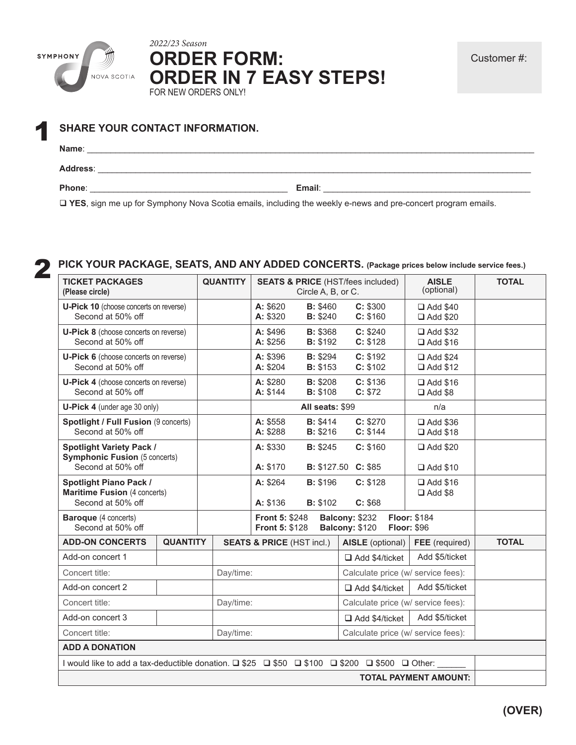

*2022/23 Season* **ORDER FORM: ORDER IN 7 EASY STEPS!** FOR NEW ORDERS ONLY!

| И | <b>SHARE YOUR CONTACT INFORMATION.</b> |  |  |  |  |  |  |
|---|----------------------------------------|--|--|--|--|--|--|
|   | Name∶                                  |  |  |  |  |  |  |
|   | <b>Address:</b>                        |  |  |  |  |  |  |

**Phone**: \_\_\_\_\_\_\_\_\_\_\_\_\_\_\_\_\_\_\_\_\_\_\_\_\_\_\_\_\_\_\_\_\_\_\_\_\_\_\_\_\_\_ **Email**: \_\_\_\_\_\_\_\_\_\_\_\_\_\_\_\_\_\_\_\_\_\_\_\_\_\_\_\_\_\_\_\_\_\_\_\_\_\_\_\_\_\_\_\_

**YES**, sign me up for Symphony Nova Scotia emails, including the weekly e-news and pre-concert program emails.

| <b>TICKET PACKAGES</b><br>(Please circle)                                                     |                 | <b>QUANTITY</b>                                                                                                                 |                                      | Circle A, B, or C.                 | <b>SEATS &amp; PRICE (HST/fees included)</b>  | <b>AISLE</b><br>(optional)         | <b>TOTAL</b> |
|-----------------------------------------------------------------------------------------------|-----------------|---------------------------------------------------------------------------------------------------------------------------------|--------------------------------------|------------------------------------|-----------------------------------------------|------------------------------------|--------------|
| <b>U-Pick 10</b> (choose concerts on reverse)<br>Second at 50% off                            |                 |                                                                                                                                 | A: \$620<br>A: \$320                 | <b>B: \$460</b><br>B: \$240        | C: \$300<br>C: \$160                          | □ Add \$40<br>□ Add \$20           |              |
| <b>U-Pick 8</b> (choose concerts on reverse)<br>Second at 50% off                             |                 |                                                                                                                                 | A: \$496<br>A: \$256                 | <b>B: \$368</b><br><b>B: \$192</b> | C: \$240<br>C: \$128                          | □ Add \$32<br>□ Add \$16           |              |
| <b>U-Pick 6</b> (choose concerts on reverse)<br>Second at 50% off                             |                 |                                                                                                                                 | A: \$396<br>A: \$204                 | <b>B: \$294</b><br><b>B: \$153</b> | C: \$192<br>C: \$102                          | □ Add \$24<br><b>□</b> Add \$12    |              |
| <b>U-Pick 4</b> (choose concerts on reverse)<br>Second at 50% off                             |                 |                                                                                                                                 | A: \$280<br>A: \$144                 | B: \$208<br><b>B: \$108</b>        | C: \$136<br>C: \$72                           | □ Add \$16<br>$\Box$ Add \$8       |              |
| U-Pick 4 (under age 30 only)                                                                  |                 |                                                                                                                                 |                                      | All seats: \$99                    |                                               | n/a                                |              |
| Spotlight / Full Fusion (9 concerts)<br>Second at 50% off                                     |                 |                                                                                                                                 | A: \$558<br>A: \$288                 | <b>B: \$414</b><br><b>B: \$216</b> | C: \$270<br>C: \$144                          | □ Add \$36<br>□ Add \$18           |              |
| <b>Spotlight Variety Pack /</b><br><b>Symphonic Fusion (5 concerts)</b><br>Second at 50% off  |                 |                                                                                                                                 | A: \$330<br>A: \$170                 | <b>B</b> : \$245                   | C: \$160<br><b>B:</b> \$127.50 <b>C:</b> \$85 | □ Add \$20<br>□ Add \$10           |              |
| <b>Spotlight Piano Pack /</b><br><b>Maritime Fusion (4 concerts)</b><br>Second at 50% off     |                 |                                                                                                                                 | A: \$264<br>A: \$136                 | <b>B: \$196</b><br><b>B: \$102</b> | C: \$128<br>C: \$68                           | □ Add \$16<br>$\Box$ Add \$8       |              |
| <b>Baroque</b> (4 concerts)<br>Second at 50% off                                              |                 | Balcony: \$232<br><b>Floor: \$184</b><br><b>Front 5: \$248</b><br>Balcony: \$120<br><b>Floor: \$96</b><br><b>Front 5: \$128</b> |                                      |                                    |                                               |                                    |              |
| <b>ADD-ON CONCERTS</b>                                                                        | <b>QUANTITY</b> |                                                                                                                                 | <b>SEATS &amp; PRICE (HST incl.)</b> |                                    | AISLE (optional)                              | FEE (required)                     | <b>TOTAL</b> |
| Add-on concert 1                                                                              |                 |                                                                                                                                 |                                      |                                    | Add \$4/ticket                                | Add \$5/ticket                     |              |
| Concert title:                                                                                |                 | Day/time:                                                                                                                       |                                      |                                    |                                               | Calculate price (w/ service fees): |              |
| Add-on concert 2                                                                              |                 |                                                                                                                                 |                                      |                                    | Add \$4/ticket                                | Add \$5/ticket                     |              |
| Concert title:                                                                                |                 | Day/time:                                                                                                                       |                                      |                                    |                                               | Calculate price (w/ service fees): |              |
| Add-on concert 3                                                                              |                 |                                                                                                                                 |                                      |                                    | Add \$4/ticket                                | Add \$5/ticket                     |              |
| Concert title:<br>Day/time:                                                                   |                 | Calculate price (w/ service fees):                                                                                              |                                      |                                    |                                               |                                    |              |
| <b>ADD A DONATION</b>                                                                         |                 |                                                                                                                                 |                                      |                                    |                                               |                                    |              |
| I would like to add a tax-deductible donation. □ \$25 □ \$50 □ \$100 □ \$200 □ \$500 □ Other: |                 |                                                                                                                                 |                                      |                                    |                                               |                                    |              |
|                                                                                               |                 |                                                                                                                                 |                                      |                                    |                                               |                                    |              |